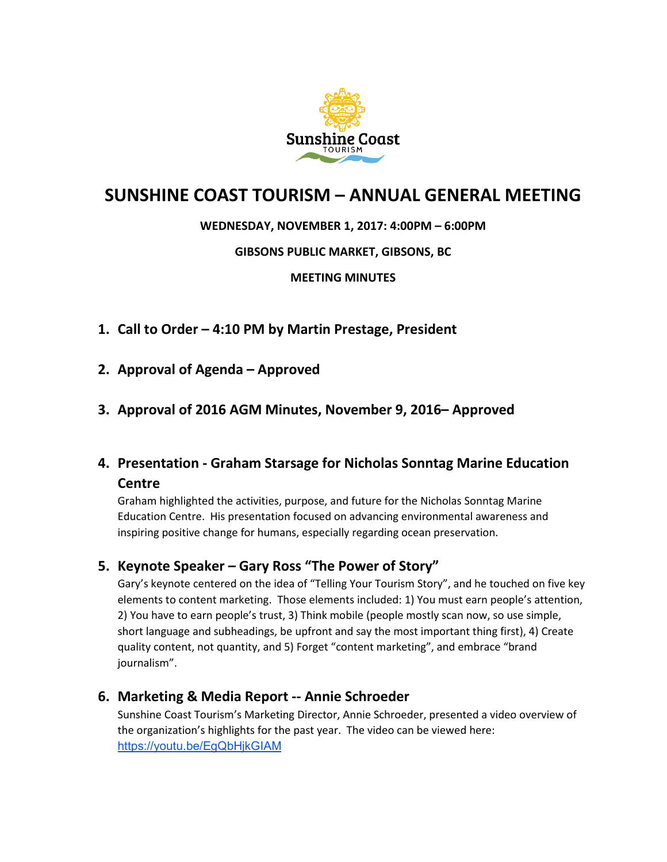

# **SUNSHINE COAST TOURISM – ANNUAL GENERAL MEETING**

### **WEDNESDAY, NOVEMBER 1, 2017: 4:00PM – 6:00PM**

### **GIBSONS PUBLIC MARKET, GIBSONS, BC**

### **MEETING MINUTES**

- **1. Call to Order – 4:10 PM by Martin Prestage, President**
- **2. Approval of Agenda – Approved**
- **3. Approval of 2016 AGM Minutes, November 9, 2016– Approved**

# **4. Presentation - Graham Starsage for Nicholas Sonntag Marine Education Centre**

Graham highlighted the activities, purpose, and future for the Nicholas Sonntag Marine Education Centre. His presentation focused on advancing environmental awareness and inspiring positive change for humans, especially regarding ocean preservation.

# **5. Keynote Speaker – Gary Ross "The Power of Story"**

Gary's keynote centered on the idea of "Telling Your Tourism Story", and he touched on five key elements to content marketing. Those elements included: 1) You must earn people's attention, 2) You have to earn people's trust, 3) Think mobile (people mostly scan now, so use simple, short language and subheadings, be upfront and say the most important thing first), 4) Create quality content, not quantity, and 5) Forget "content marketing", and embrace "brand journalism".

# **6. Marketing & Media Report -- Annie Schroeder**

Sunshine Coast Tourism's Marketing Director, Annie Schroeder, presented a video overview of the organization's highlights for the past year. The video can be viewed here: <https://youtu.be/EgQbHjkGIAM>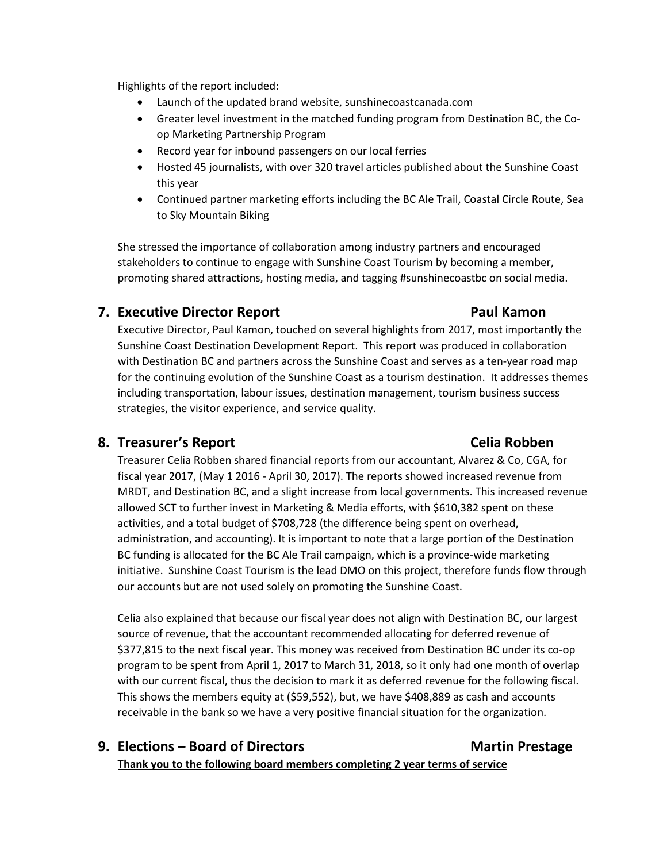Highlights of the report included:

- Launch of the updated brand website, sunshinecoastcanada.com
- Greater level investment in the matched funding program from Destination BC, the Coop Marketing Partnership Program
- Record year for inbound passengers on our local ferries
- Hosted 45 journalists, with over 320 travel articles published about the Sunshine Coast this year
- Continued partner marketing efforts including the BC Ale Trail, Coastal Circle Route, Sea to Sky Mountain Biking

She stressed the importance of collaboration among industry partners and encouraged stakeholders to continue to engage with Sunshine Coast Tourism by becoming a member, promoting shared attractions, hosting media, and tagging #sunshinecoastbc on social media.

# **7. Executive Director Report Paul Kamon**

Executive Director, Paul Kamon, touched on several highlights from 2017, most importantly the Sunshine Coast Destination Development Report. This report was produced in collaboration with Destination BC and partners across the Sunshine Coast and serves as a ten-year road map for the continuing evolution of the Sunshine Coast as a tourism destination. It addresses themes including transportation, labour issues, destination management, tourism business success strategies, the visitor experience, and service quality.

# **8. Treasurer's Report Celia Robben**

Treasurer Celia Robben shared financial reports from our accountant, Alvarez & Co, CGA, for fiscal year 2017, (May 1 2016 - April 30, 2017). The reports showed increased revenue from MRDT, and Destination BC, and a slight increase from local governments. This increased revenue allowed SCT to further invest in Marketing & Media efforts, with \$610,382 spent on these activities, and a total budget of \$708,728 (the difference being spent on overhead, administration, and accounting). It is important to note that a large portion of the Destination BC funding is allocated for the BC Ale Trail campaign, which is a province-wide marketing initiative. Sunshine Coast Tourism is the lead DMO on this project, therefore funds flow through our accounts but are not used solely on promoting the Sunshine Coast.

Celia also explained that because our fiscal year does not align with Destination BC, our largest source of revenue, that the accountant recommended allocating for deferred revenue of \$377,815 to the next fiscal year. This money was received from Destination BC under its co-op program to be spent from April 1, 2017 to March 31, 2018, so it only had one month of overlap with our current fiscal, thus the decision to mark it as deferred revenue for the following fiscal. This shows the members equity at (\$59,552), but, we have \$408,889 as cash and accounts receivable in the bank so we have a very positive financial situation for the organization.

**9. Elections – Board of Directors Martin Prestage Thank you to the following board members completing 2 year terms of service**